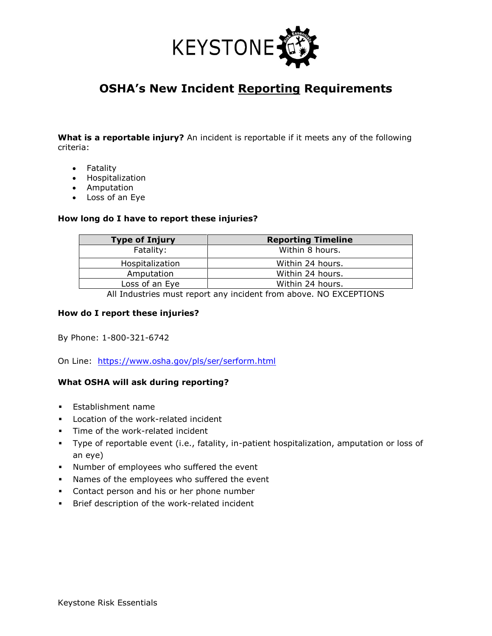

# **OSHA's New Incident Reporting Requirements**

**What is a reportable injury?** An incident is reportable if it meets any of the following criteria:

- Fatality
- Hospitalization
- Amputation
- Loss of an Eye

#### **How long do I have to report these injuries?**

| <b>Type of Injury</b> | <b>Reporting Timeline</b> |
|-----------------------|---------------------------|
| Fatality:             | Within 8 hours.           |
| Hospitalization       | Within 24 hours.          |
| Amputation            | Within 24 hours.          |
| Loss of an Eye        | Within 24 hours.          |
|                       |                           |

All Industries must report any incident from above. NO EXCEPTIONS

#### **How do I report these injuries?**

By Phone: 1-800-321-6742

On Line: <https://www.osha.gov/pls/ser/serform.html>

## **What OSHA will ask during reporting?**

- Establishment name
- Location of the work-related incident
- **·** Time of the work-related incident
- Type of reportable event (i.e., fatality, in-patient hospitalization, amputation or loss of an eye)
- Number of employees who suffered the event
- Names of the employees who suffered the event
- **•** Contact person and his or her phone number
- Brief description of the work-related incident